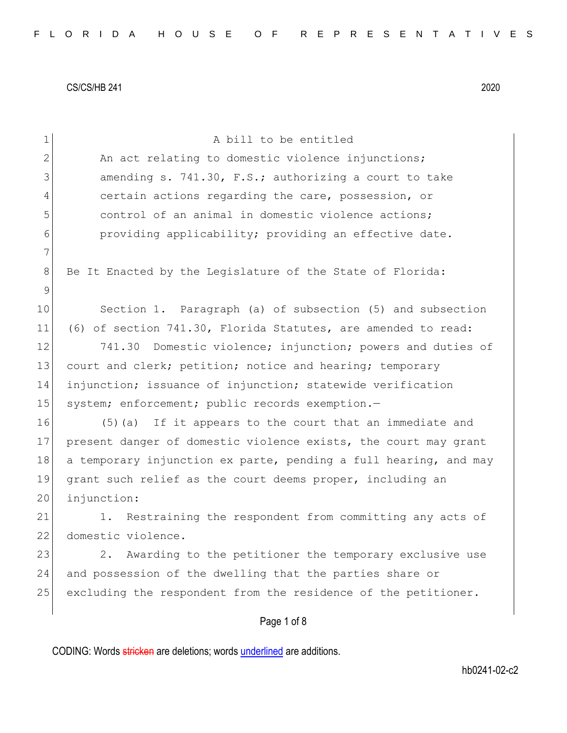| $\mathbf 1$  | A bill to be entitled                                            |
|--------------|------------------------------------------------------------------|
| $\mathbf{2}$ | An act relating to domestic violence injunctions;                |
| 3            | amending s. 741.30, F.S.; authorizing a court to take            |
| 4            | certain actions regarding the care, possession, or               |
| 5            | control of an animal in domestic violence actions;               |
| 6            | providing applicability; providing an effective date.            |
| 7            |                                                                  |
| 8            | Be It Enacted by the Legislature of the State of Florida:        |
| 9            |                                                                  |
| 10           | Section 1. Paragraph (a) of subsection (5) and subsection        |
| 11           | (6) of section 741.30, Florida Statutes, are amended to read:    |
| 12           | Domestic violence; injunction; powers and duties of<br>741.30    |
| 13           | court and clerk; petition; notice and hearing; temporary         |
| 14           | injunction; issuance of injunction; statewide verification       |
| 15           | system; enforcement; public records exemption.-                  |
| 16           | (5) (a) If it appears to the court that an immediate and         |
| 17           | present danger of domestic violence exists, the court may grant  |
| 18           | a temporary injunction ex parte, pending a full hearing, and may |
| 19           | grant such relief as the court deems proper, including an        |
| 20           | injunction:                                                      |
| 21           | 1. Restraining the respondent from committing any acts of        |
| 22           | domestic violence.                                               |
| 23           | Awarding to the petitioner the temporary exclusive use<br>2.     |
| 24           | and possession of the dwelling that the parties share or         |
| 25           | excluding the respondent from the residence of the petitioner.   |
|              | Page 1 of 8                                                      |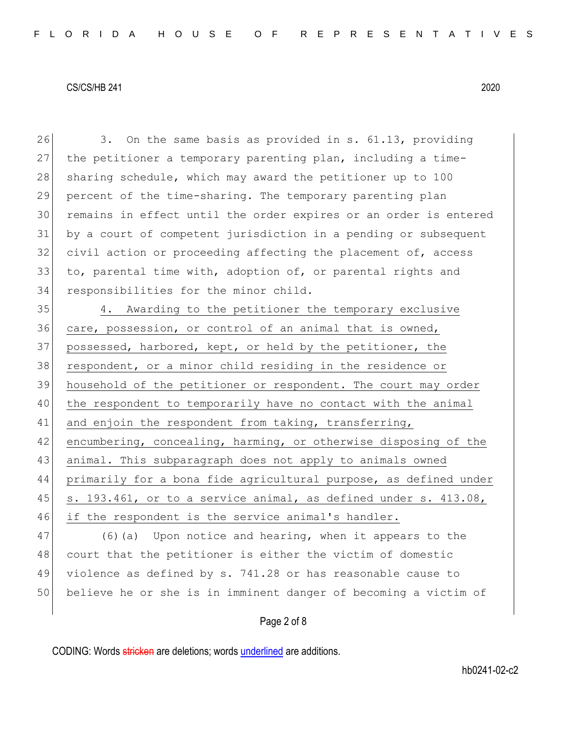26 3. On the same basis as provided in s. 61.13, providing 27 the petitioner a temporary parenting plan, including a time-28 sharing schedule, which may award the petitioner up to 100 29 percent of the time-sharing. The temporary parenting plan 30 remains in effect until the order expires or an order is entered 31 by a court of competent jurisdiction in a pending or subsequent 32 civil action or proceeding affecting the placement of, access 33 to, parental time with, adoption of, or parental rights and 34 responsibilities for the minor child.

35 4. Awarding to the petitioner the temporary exclusive 36 care, possession, or control of an animal that is owned, 37 possessed, harbored, kept, or held by the petitioner, the 38 respondent, or a minor child residing in the residence or 39 household of the petitioner or respondent. The court may order 40 the respondent to temporarily have no contact with the animal 41 and enjoin the respondent from taking, transferring, 42 encumbering, concealing, harming, or otherwise disposing of the 43 animal. This subparagraph does not apply to animals owned 44 primarily for a bona fide agricultural purpose, as defined under 45  $\vert$  s. 193.461, or to a service animal, as defined under s. 413.08, 46 if the respondent is the service animal's handler.

47 (6)(a) Upon notice and hearing, when it appears to the 48 court that the petitioner is either the victim of domestic 49 violence as defined by s. 741.28 or has reasonable cause to 50 believe he or she is in imminent danger of becoming a victim of

# Page 2 of 8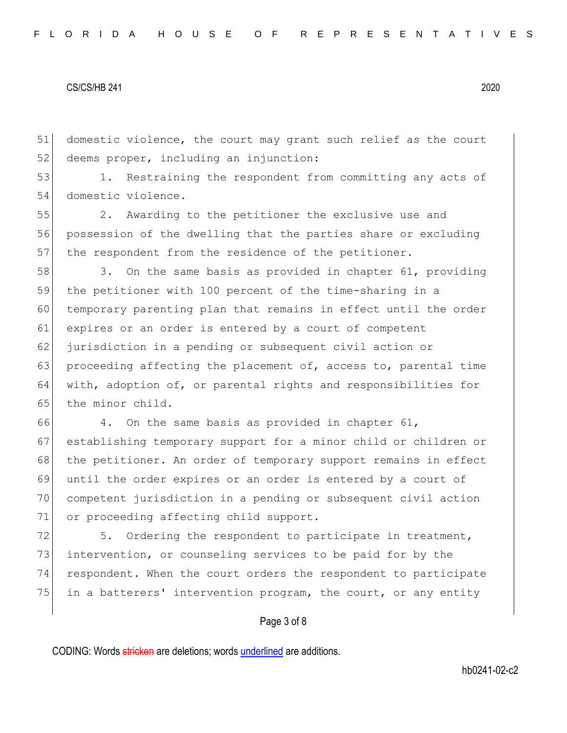51 domestic violence, the court may grant such relief as the court 52 deems proper, including an injunction:

53 1. Restraining the respondent from committing any acts of 54 domestic violence.

55 2. Awarding to the petitioner the exclusive use and 56 possession of the dwelling that the parties share or excluding 57 the respondent from the residence of the petitioner.

58 3. On the same basis as provided in chapter 61, providing 59 the petitioner with 100 percent of the time-sharing in a 60 temporary parenting plan that remains in effect until the order 61 expires or an order is entered by a court of competent 62 jurisdiction in a pending or subsequent civil action or 63 proceeding affecting the placement of, access to, parental time 64 with, adoption of, or parental rights and responsibilities for 65 the minor child.

66 4. On the same basis as provided in chapter 61, 67 establishing temporary support for a minor child or children or 68 the petitioner. An order of temporary support remains in effect 69 until the order expires or an order is entered by a court of 70 competent jurisdiction in a pending or subsequent civil action 71 or proceeding affecting child support.

72 5. Ordering the respondent to participate in treatment, 73 intervention, or counseling services to be paid for by the 74 respondent. When the court orders the respondent to participate 75 in a batterers' intervention program, the court, or any entity

## Page 3 of 8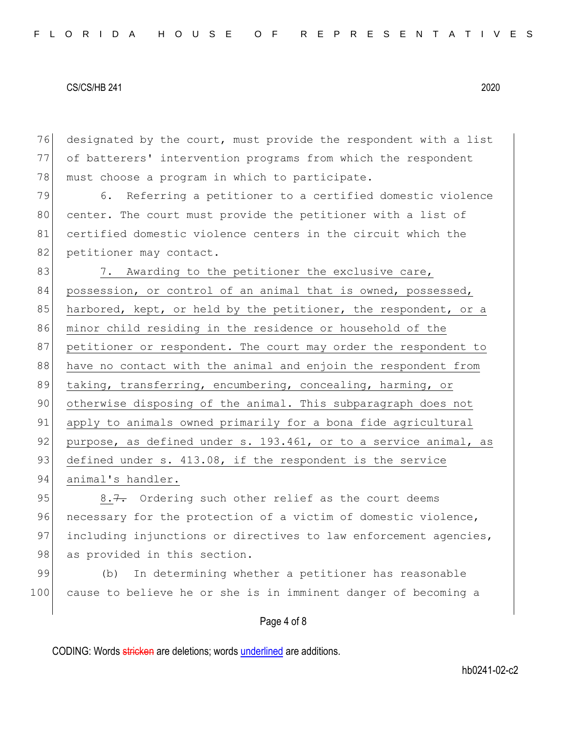76 designated by the court, must provide the respondent with a list 77 of batterers' intervention programs from which the respondent 78 must choose a program in which to participate.

79 6. Referring a petitioner to a certified domestic violence 80 center. The court must provide the petitioner with a list of 81 certified domestic violence centers in the circuit which the 82 petitioner may contact.

83 7. Awarding to the petitioner the exclusive care, 84 possession, or control of an animal that is owned, possessed, 85 harbored, kept, or held by the petitioner, the respondent, or a 86 minor child residing in the residence or household of the 87 petitioner or respondent. The court may order the respondent to 88 have no contact with the animal and enjoin the respondent from 89 taking, transferring, encumbering, concealing, harming, or 90 otherwise disposing of the animal. This subparagraph does not 91 apply to animals owned primarily for a bona fide agricultural 92 purpose, as defined under s. 193.461, or to a service animal, as 93 defined under s. 413.08, if the respondent is the service 94 animal's handler.

95 8.7. Ordering such other relief as the court deems 96 necessary for the protection of a victim of domestic violence, 97 including injunctions or directives to law enforcement agencies, 98 as provided in this section.

99 (b) In determining whether a petitioner has reasonable 100 cause to believe he or she is in imminent danger of becoming a

# Page 4 of 8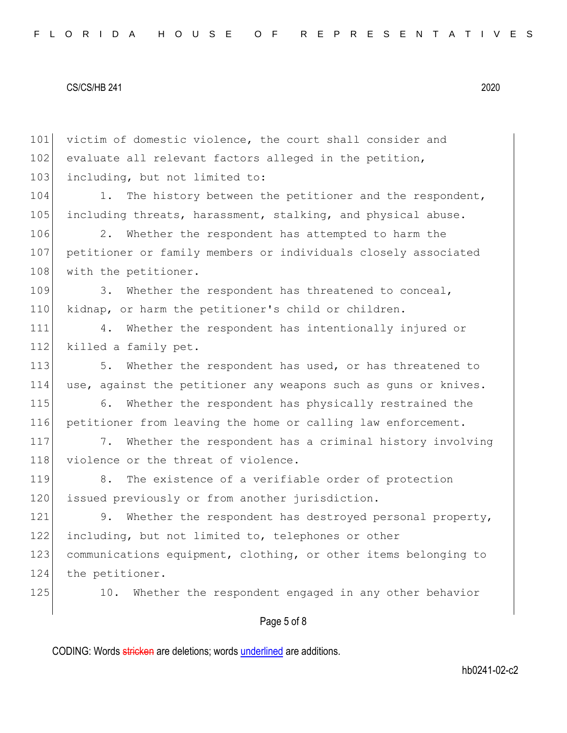101 victim of domestic violence, the court shall consider and 102 evaluate all relevant factors alleged in the petition, 103 including, but not limited to: 104 1. The history between the petitioner and the respondent, 105 including threats, harassment, stalking, and physical abuse. 106 2. Whether the respondent has attempted to harm the 107 petitioner or family members or individuals closely associated 108 with the petitioner. 109 3. Whether the respondent has threatened to conceal, 110 kidnap, or harm the petitioner's child or children. 111 4. Whether the respondent has intentionally injured or 112 killed a family pet. 113 5. Whether the respondent has used, or has threatened to 114 use, against the petitioner any weapons such as guns or knives. 115 6. Whether the respondent has physically restrained the 116 petitioner from leaving the home or calling law enforcement. 117 7. Whether the respondent has a criminal history involving 118 violence or the threat of violence. 119 8. The existence of a verifiable order of protection 120 issued previously or from another jurisdiction. 121 9. Whether the respondent has destroyed personal property, 122 including, but not limited to, telephones or other 123 communications equipment, clothing, or other items belonging to 124 the petitioner. 125 10. Whether the respondent engaged in any other behavior

# Page 5 of 8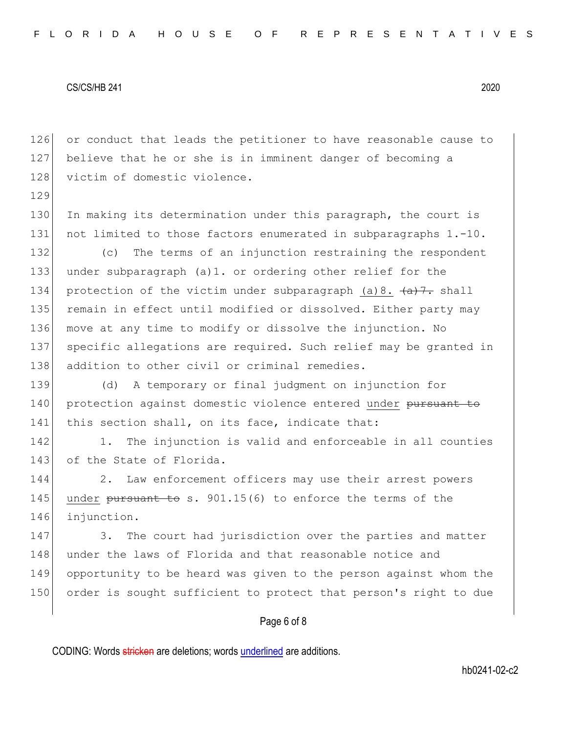129

126 or conduct that leads the petitioner to have reasonable cause to 127 believe that he or she is in imminent danger of becoming a 128 victim of domestic violence.

130 In making its determination under this paragraph, the court is 131 not limited to those factors enumerated in subparagraphs 1.-10.

132 (c) The terms of an injunction restraining the respondent 133 under subparagraph (a)1. or ordering other relief for the 134 protection of the victim under subparagraph (a)8.  $\left( \frac{a}{a}\right)$ . shall 135 remain in effect until modified or dissolved. Either party may 136 move at any time to modify or dissolve the injunction. No 137 specific allegations are required. Such relief may be granted in 138 addition to other civil or criminal remedies.

139 (d) A temporary or final judgment on injunction for 140 protection against domestic violence entered under pursuant to 141 this section shall, on its face, indicate that:

142 1. The injunction is valid and enforceable in all counties 143 of the State of Florida.

144 2. Law enforcement officers may use their arrest powers 145 under pursuant to s.  $901.15(6)$  to enforce the terms of the 146 injunction.

147 3. The court had jurisdiction over the parties and matter 148 under the laws of Florida and that reasonable notice and 149 opportunity to be heard was given to the person against whom the 150 order is sought sufficient to protect that person's right to due

## Page 6 of 8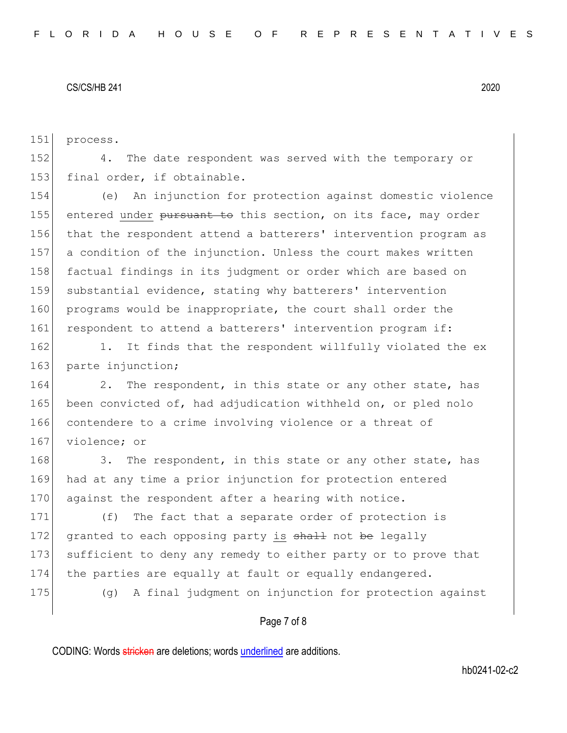151 process.

152 4. The date respondent was served with the temporary or 153 final order, if obtainable.

154 (e) An injunction for protection against domestic violence 155 entered under pursuant to this section, on its face, may order 156 that the respondent attend a batterers' intervention program as 157 a condition of the injunction. Unless the court makes written 158 factual findings in its judgment or order which are based on 159 substantial evidence, stating why batterers' intervention 160 programs would be inappropriate, the court shall order the 161 respondent to attend a batterers' intervention program if:

162 1. It finds that the respondent willfully violated the ex 163 parte injunction;

164 2. The respondent, in this state or any other state, has 165 been convicted of, had adjudication withheld on, or pled nolo 166 contendere to a crime involving violence or a threat of 167 violence; or

168 3. The respondent, in this state or any other state, has 169 had at any time a prior injunction for protection entered 170 against the respondent after a hearing with notice.

171 (f) The fact that a separate order of protection is 172 granted to each opposing party is shall not be legally 173 sufficient to deny any remedy to either party or to prove that 174 the parties are equally at fault or equally endangered.

175 (g) A final judgment on injunction for protection against

# Page 7 of 8